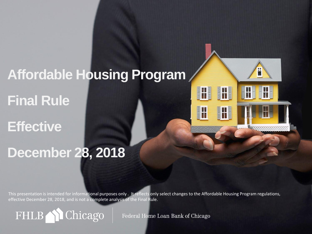# **Affordable Housing Program Final Rule**

**Effective** 

# **December 28, 2018**

This presentation is intended for informational purposes only . It reflects only select changes to the Affordable Housing Program regulations, effective December 28, 2018, and is not a complete analysis of the Final Rule.

FHLB1 Chicago

Federal Home Loan Bank of Chicago

H

 $\blacksquare$ 

T

H

 $\frac{1}{2}$ 

T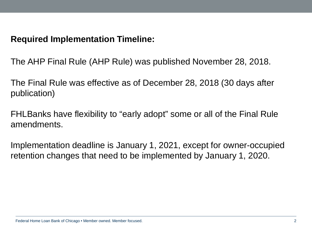### **Required Implementation Timeline:**

The AHP Final Rule (AHP Rule) was published November 28, 2018.

The Final Rule was effective as of December 28, 2018 (30 days after publication)

FHLBanks have flexibility to "early adopt" some or all of the Final Rule amendments.

Implementation deadline is January 1, 2021, except for owner-occupied retention changes that need to be implemented by January 1, 2020.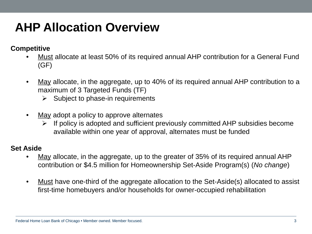# **AHP Allocation Overview**

**Competitive** 

- Must allocate at least 50% of its required annual AHP contribution for a General Fund (GF)
- May allocate, in the aggregate, up to 40% of its required annual AHP contribution to a maximum of 3 Targeted Funds (TF)
	- $\triangleright$  Subject to phase-in requirements
- May adopt a policy to approve alternates
	- $\triangleright$  If policy is adopted and sufficient previously committed AHP subsidies become available within one year of approval, alternates must be funded

#### **Set Aside**

- May allocate, in the aggregate, up to the greater of 35% of its required annual AHP contribution or \$4.5 million for Homeownership Set-Aside Program(s) (*No change*)
- Must have one-third of the aggregate allocation to the Set-Aside(s) allocated to assist first-time homebuyers and/or households for owner-occupied rehabilitation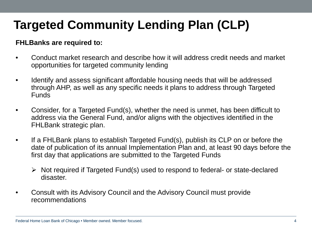# **Targeted Community Lending Plan (CLP)**

### **FHLBanks are required to:**

- Conduct market research and describe how it will address credit needs and market opportunities for targeted community lending
- Identify and assess significant affordable housing needs that will be addressed through AHP, as well as any specific needs it plans to address through Targeted Funds
- Consider, for a Targeted Fund(s), whether the need is unmet, has been difficult to address via the General Fund, and/or aligns with the objectives identified in the FHLBank strategic plan.
- If a FHLBank plans to establish Targeted Fund(s), publish its CLP on or before the date of publication of its annual Implementation Plan and, at least 90 days before the first day that applications are submitted to the Targeted Funds
	- $\triangleright$  Not required if Targeted Fund(s) used to respond to federal- or state-declared disaster.
- Consult with its Advisory Council and the Advisory Council must provide recommendations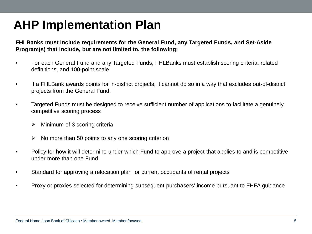### **AHP Implementation Plan**

**FHLBanks must include requirements for the General Fund, any Targeted Funds, and Set-Aside Program(s) that include, but are not limited to, the following:** 

- For each General Fund and any Targeted Funds, FHLBanks must establish scoring criteria, related definitions, and 100-point scale
- If a FHLBank awards points for in-district projects, it cannot do so in a way that excludes out-of-district projects from the General Fund.
- Targeted Funds must be designed to receive sufficient number of applications to facilitate a genuinely competitive scoring process
	- Minimum of 3 scoring criteria
	- $\triangleright$  No more than 50 points to any one scoring criterion
- Policy for how it will determine under which Fund to approve a project that applies to and is competitive under more than one Fund
- Standard for approving a relocation plan for current occupants of rental projects
- Proxy or proxies selected for determining subsequent purchasers' income pursuant to FHFA guidance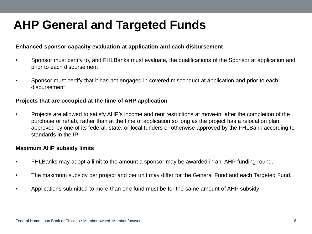### **AHP General and Targeted Funds**

#### **Enhanced sponsor capacity evaluation at application and each disbursement**

- Sponsor must certify to, and FHLBanks must evaluate, the qualifications of the Sponsor at application and prior to each disbursement
- Sponsor must certify that it has not engaged in covered misconduct at application and prior to each disbursement

#### **Projects that are occupied at the time of AHP application**

• Projects are allowed to satisfy AHP's income and rent restrictions at move-in, after the completion of the purchase or rehab, rather than at the time of application so long as the project has a relocation plan approved by one of its federal, state, or local funders or otherwise approved by the FHLBank according to standards in the IP

#### **Maximum AHP subsidy limits**

- FHLBanks may adopt a limit to the amount a sponsor may be awarded in an AHP funding round.
- The maximum subsidy per project and per unit may differ for the General Fund and each Targeted Fund.
- Applications submitted to more than one fund must be for the same amount of AHP subsidy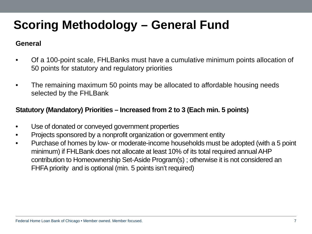#### **General**

- Of a 100-point scale, FHLBanks must have a cumulative minimum points allocation of 50 points for statutory and regulatory priorities
- The remaining maximum 50 points may be allocated to affordable housing needs selected by the FHLBank

#### **Statutory (Mandatory) Priorities – Increased from 2 to 3 (Each min. 5 points)**

- Use of donated or conveyed government properties
- Projects sponsored by a nonprofit organization or government entity
- Purchase of homes by low- or moderate-income households must be adopted (with a 5 point minimum) if FHLBank does not allocate at least 10% of its total required annual AHP contribution to Homeownership Set-Aside Program(s) ; otherwise it is not considered an FHFA priority and is optional (min. 5 points isn't required)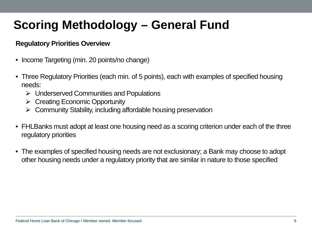#### **Regulatory Priorities Overview**

- Income Targeting (min. 20 points/no change)
- Three Regulatory Priorities (each min. of 5 points), each with examples of specified housing needs:
	- $\triangleright$  Underserved Communities and Populations
	- $\triangleright$  Creating Economic Opportunity
	- $\triangleright$  Community Stability, including affordable housing preservation
- FHLBanks must adopt at least one housing need as a scoring criterion under each of the three regulatory priorities
- The examples of specified housing needs are not exclusionary; a Bank may choose to adopt other housing needs under a regulatory priority that are similar in nature to those specified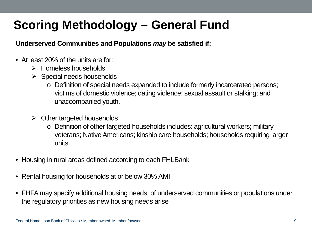**Underserved Communities and Populations** *may* **be satisfied if:**

- At least 20% of the units are for:
	- $\triangleright$  Homeless households
	- $\triangleright$  Special needs households
		- o Definition of special needs expanded to include formerly incarcerated persons; victims of domestic violence; dating violence; sexual assault or stalking; and unaccompanied youth.
	- $\triangleright$  Other targeted households
		- o Definition of other targeted households includes: agricultural workers; military veterans; Native Americans; kinship care households; households requiring larger units.
- Housing in rural areas defined according to each FHLBank
- Rental housing for households at or below 30% AMI
- FHFA may specify additional housing needs of underserved communities or populations under the regulatory priorities as new housing needs arise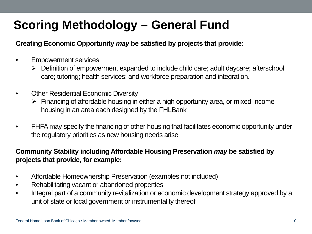#### **Creating Economic Opportunity** *may* **be satisfied by projects that provide:**

- Empowerment services
	- Definition of empowerment expanded to include child care; adult daycare; afterschool care; tutoring; health services; and workforce preparation and integration.
- Other Residential Economic Diversity
	- $\triangleright$  Financing of affordable housing in either a high opportunity area, or mixed-income housing in an area each designed by the FHLBank
- FHFA may specify the financing of other housing that facilitates economic opportunity under the regulatory priorities as new housing needs arise

#### **Community Stability including Affordable Housing Preservation** *may* **be satisfied by projects that provide, for example:**

- Affordable Homeownership Preservation (examples not included)
- Rehabilitating vacant or abandoned properties
- Integral part of a community revitalization or economic development strategy approved by a unit of state or local government or instrumentality thereof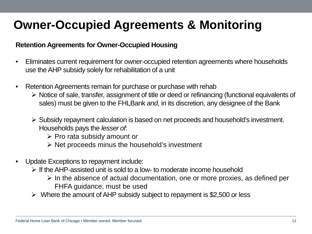### **Owner-Occupied Agreements & Monitoring**

#### **Retention Agreements for Owner-Occupied Housing**

- Eliminates current requirement for owner-occupied retention agreements where households use the AHP subsidy solely for rehabilitation of a unit
- Retention Agreements remain for purchase or purchase with rehab
	- $\triangleright$  Notice of sale, transfer, assignment of title or deed or refinancing (functional equivalents of sales) must be given to the FHLBank *and*, in its discretion, any designee of the Bank
	- Subsidy repayment calculation is based on net proceeds and household's investment. Households pays the *lesser of*:
		- Pro rata subsidy amount o*r*
		- $\triangleright$  Net proceeds minus the household's investment
- Update Exceptions to repayment include:
	- $\triangleright$  If the AHP-assisted unit is sold to a low- to moderate income household
		- $\triangleright$  In the absence of actual documentation, one or more proxies, as defined per FHFA guidance, must be used
	- $\triangleright$  Where the amount of AHP subsidy subject to repayment is \$2,500 or less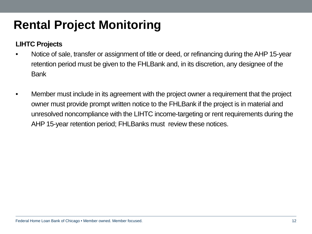# **Rental Project Monitoring**

### **LIHTC Projects**

- Notice of sale, transfer or assignment of title or deed, or refinancing during the AHP 15-year retention period must be given to the FHLBank and, in its discretion, any designee of the Bank
- Member must include in its agreement with the project owner a requirement that the project owner must provide prompt written notice to the FHLBank if the project is in material and unresolved noncompliance with the LIHTC income-targeting or rent requirements during the AHP 15-year retention period; FHLBanks must review these notices.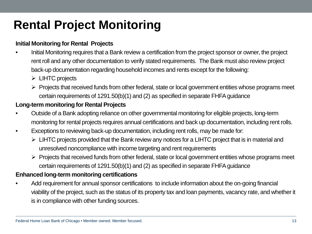# **Rental Project Monitoring**

#### **Initial Monitoring for Rental Projects**

- Initial Monitoring requires that a Bank review a certification from the project sponsor or owner, the project rent roll and any other documentation to verify stated requirements. The Bank must also review project back-up documentation regarding household incomes and rents except for the following:
	- $\triangleright$  LIHTC projects
	- $\triangleright$  Projects that received funds from other federal, state or local government entities whose programs meet certain requirements of 1291.50(b)(1) and (2) as specified in separate FHFA guidance

#### **Long-term monitoring for Rental Projects**

- Outside of a Bank adopting reliance on other governmental monitoring for eligible projects, long-term monitoring for rental projects requires annual certifications and back up documentation, including rent rolls.
- Exceptions to reviewing back-up documentation, including rent rolls, may be made for:
	- $\triangleright$  LIHTC projects provided that the Bank review any notices for a LIHTC project that is in material and unresolved noncompliance with income targeting and rent requirements
	- $\triangleright$  Projects that received funds from other federal, state or local government entities whose programs meet certain requirements of 1291.50(b)(1) and (2) as specified in separate FHFA guidance

#### **Enhanced long-term monitoring certifications**

• Add requirement for annual sponsor certifications to include information about the on-going financial viability of the project, such as the status of its property tax and loan payments, vacancy rate, and whether it is in compliance with other funding sources.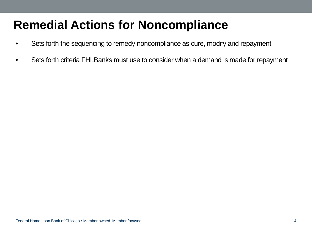### **Remedial Actions for Noncompliance**

- Sets forth the sequencing to remedy noncompliance as cure, modify and repayment
- Sets forth criteria FHLBanks must use to consider when a demand is made for repayment